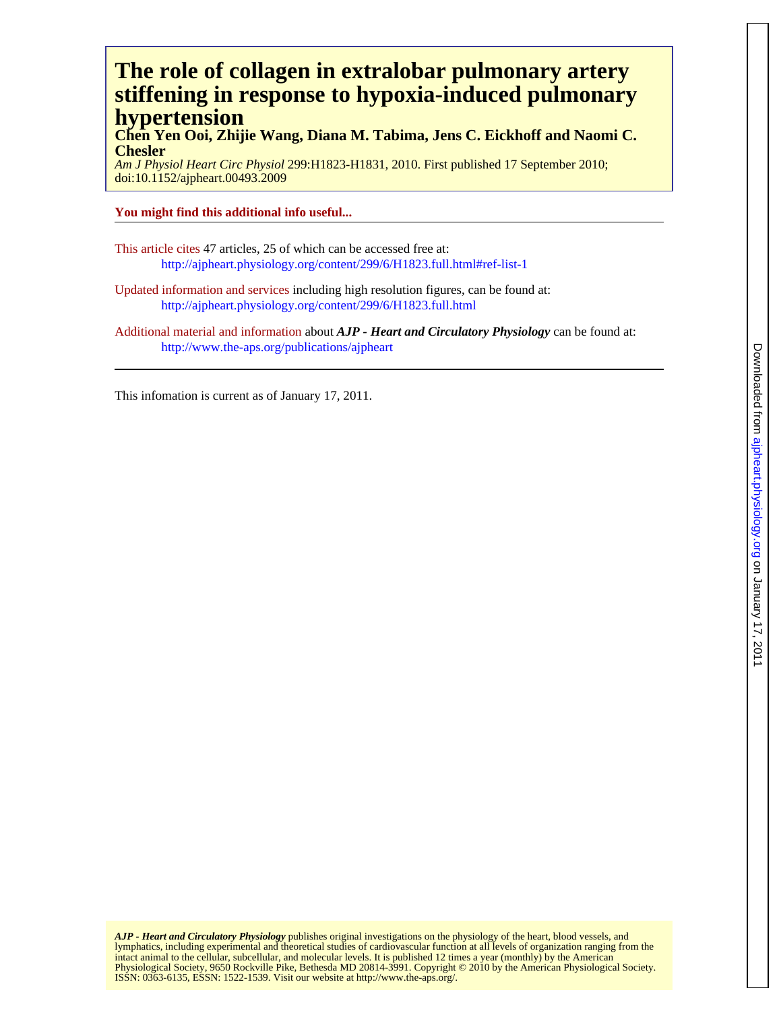# **hypertension stiffening in response to hypoxia-induced pulmonary The role of collagen in extralobar pulmonary artery**

**Chesler Chen Yen Ooi, Zhijie Wang, Diana M. Tabima, Jens C. Eickhoff and Naomi C.**

doi:10.1152/ajpheart.00493.2009 *Am J Physiol Heart Circ Physiol* 299:H1823-H1831, 2010. First published 17 September 2010;

## **You might find this additional info useful...**

This article cites 47 articles, 25 of which can be accessed free at: <http://ajpheart.physiology.org/content/299/6/H1823.full.html#ref-list-1>

Updated information and services including high resolution figures, can be found at: <http://ajpheart.physiology.org/content/299/6/H1823.full.html>

Additional material and information about *AJP - Heart and Circulatory Physiology* can be found at: http://www.the-aps.org/publications/ajpheart

This infomation is current as of January 17, 2011.

ISSN: 0363-6135, ESSN: 1522-1539. Visit our website at http://www.the-aps.org/. Physiological Society, 9650 Rockville Pike, Bethesda MD 20814-3991. Copyright © 2010 by the American Physiological Society. intact animal to the cellular, subcellular, and molecular levels. It is published 12 times a year (monthly) by the American lymphatics, including experimental and theoretical studies of cardiovascular function at all levels of organization ranging from the *AJP - Heart and Circulatory Physiology* publishes original investigations on the physiology of the heart, blood vessels, and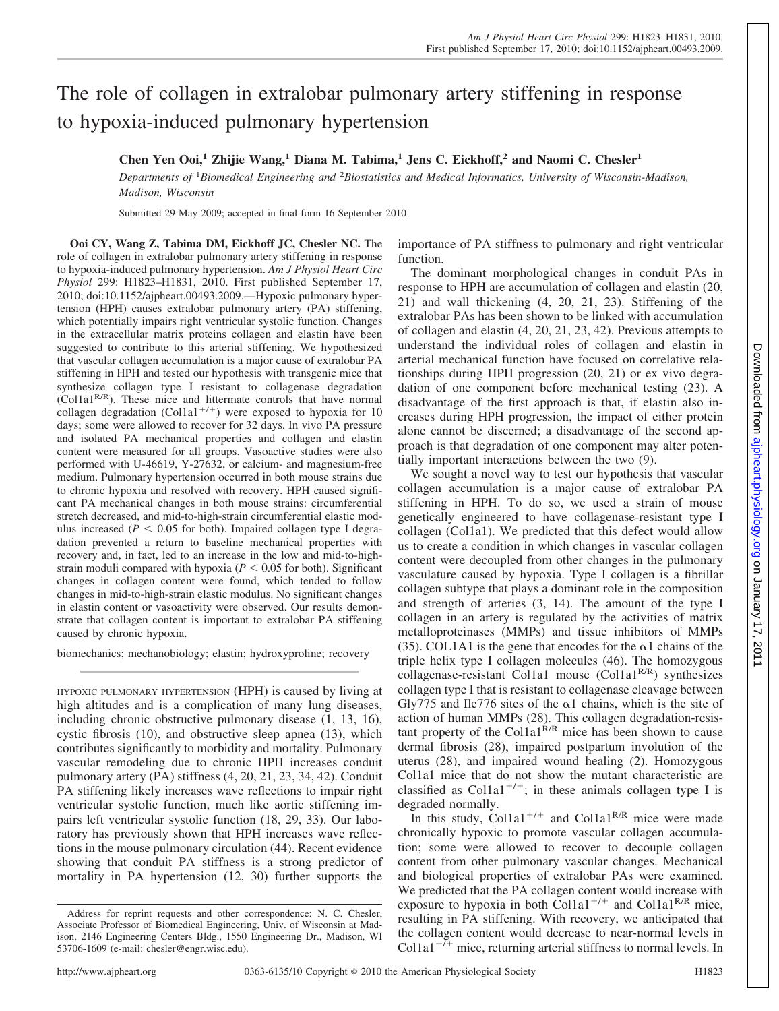# The role of collagen in extralobar pulmonary artery stiffening in response to hypoxia-induced pulmonary hypertension

## **Chen Yen Ooi,<sup>1</sup> Zhijie Wang,<sup>1</sup> Diana M. Tabima,<sup>1</sup> Jens C. Eickhoff,<sup>2</sup> and Naomi C. Chesler<sup>1</sup>**

Departments of <sup>1</sup>Biomedical Engineering and <sup>2</sup>Biostatistics and Medical Informatics, University of Wisconsin-Madison, *Madison, Wisconsin*

Submitted 29 May 2009; accepted in final form 16 September 2010

**Ooi CY, Wang Z, Tabima DM, Eickhoff JC, Chesler NC.** The role of collagen in extralobar pulmonary artery stiffening in response to hypoxia-induced pulmonary hypertension. *Am J Physiol Heart Circ Physiol* 299: H1823–H1831, 2010. First published September 17, 2010; doi:10.1152/ajpheart.00493.2009.—Hypoxic pulmonary hypertension (HPH) causes extralobar pulmonary artery (PA) stiffening, which potentially impairs right ventricular systolic function. Changes in the extracellular matrix proteins collagen and elastin have been suggested to contribute to this arterial stiffening. We hypothesized that vascular collagen accumulation is a major cause of extralobar PA stiffening in HPH and tested our hypothesis with transgenic mice that synthesize collagen type I resistant to collagenase degradation (Col1a1R/R). These mice and littermate controls that have normal collagen degradation (Col1a1<sup>+/+</sup>) were exposed to hypoxia for 10 days; some were allowed to recover for 32 days. In vivo PA pressure and isolated PA mechanical properties and collagen and elastin content were measured for all groups. Vasoactive studies were also performed with U-46619, Y-27632, or calcium- and magnesium-free medium. Pulmonary hypertension occurred in both mouse strains due to chronic hypoxia and resolved with recovery. HPH caused significant PA mechanical changes in both mouse strains: circumferential stretch decreased, and mid-to-high-strain circumferential elastic modulus increased ( $P < 0.05$  for both). Impaired collagen type I degradation prevented a return to baseline mechanical properties with recovery and, in fact, led to an increase in the low and mid-to-highstrain moduli compared with hypoxia ( $P < 0.05$  for both). Significant changes in collagen content were found, which tended to follow changes in mid-to-high-strain elastic modulus. No significant changes in elastin content or vasoactivity were observed. Our results demonstrate that collagen content is important to extralobar PA stiffening caused by chronic hypoxia.

biomechanics; mechanobiology; elastin; hydroxyproline; recovery

HYPOXIC PULMONARY HYPERTENSION (HPH) is caused by living at high altitudes and is a complication of many lung diseases, including chronic obstructive pulmonary disease (1, 13, 16), cystic fibrosis (10), and obstructive sleep apnea (13), which contributes significantly to morbidity and mortality. Pulmonary vascular remodeling due to chronic HPH increases conduit pulmonary artery (PA) stiffness (4, 20, 21, 23, 34, 42). Conduit PA stiffening likely increases wave reflections to impair right ventricular systolic function, much like aortic stiffening impairs left ventricular systolic function (18, 29, 33). Our laboratory has previously shown that HPH increases wave reflections in the mouse pulmonary circulation (44). Recent evidence showing that conduit PA stiffness is a strong predictor of mortality in PA hypertension (12, 30) further supports the importance of PA stiffness to pulmonary and right ventricular function.

The dominant morphological changes in conduit PAs in response to HPH are accumulation of collagen and elastin (20, 21) and wall thickening (4, 20, 21, 23). Stiffening of the extralobar PAs has been shown to be linked with accumulation of collagen and elastin (4, 20, 21, 23, 42). Previous attempts to understand the individual roles of collagen and elastin in arterial mechanical function have focused on correlative relationships during HPH progression (20, 21) or ex vivo degradation of one component before mechanical testing (23). A disadvantage of the first approach is that, if elastin also increases during HPH progression, the impact of either protein alone cannot be discerned; a disadvantage of the second approach is that degradation of one component may alter potentially important interactions between the two (9).

We sought a novel way to test our hypothesis that vascular collagen accumulation is a major cause of extralobar PA stiffening in HPH. To do so, we used a strain of mouse genetically engineered to have collagenase-resistant type I collagen (Col1a1). We predicted that this defect would allow us to create a condition in which changes in vascular collagen content were decoupled from other changes in the pulmonary vasculature caused by hypoxia. Type I collagen is a fibrillar collagen subtype that plays a dominant role in the composition and strength of arteries (3, 14). The amount of the type I collagen in an artery is regulated by the activities of matrix metalloproteinases (MMPs) and tissue inhibitors of MMPs (35). COL1A1 is the gene that encodes for the  $\alpha$ 1 chains of the triple helix type I collagen molecules (46). The homozygous collagenase-resistant Col1a1 mouse  $(Col1a1<sup>R/R</sup>)$  synthesizes collagen type I that is resistant to collagenase cleavage between Gly775 and Ile776 sites of the  $\alpha$ 1 chains, which is the site of action of human MMPs (28). This collagen degradation-resistant property of the Col1a1 $R/R$  mice has been shown to cause dermal fibrosis (28), impaired postpartum involution of the uterus (28), and impaired wound healing (2). Homozygous Col1a1 mice that do not show the mutant characteristic are classified as Col1a1<sup>+/+</sup>; in these animals collagen type I is degraded normally.

In this study, Col1a1<sup>+/+</sup> and Col1a1<sup>R/R</sup> mice were made chronically hypoxic to promote vascular collagen accumulation; some were allowed to recover to decouple collagen content from other pulmonary vascular changes. Mechanical and biological properties of extralobar PAs were examined. We predicted that the PA collagen content would increase with exposure to hypoxia in both Col1a1<sup>+/+</sup> and Col1a1<sup>R/R</sup> mice, resulting in PA stiffening. With recovery, we anticipated that the collagen content would decrease to near-normal levels in Col1a1<sup>+ $\bar{t}$ </sup> mice, returning arterial stiffness to normal levels. In

Address for reprint requests and other correspondence: N. C. Chesler, Associate Professor of Biomedical Engineering, Univ. of Wisconsin at Madison, 2146 Engineering Centers Bldg., 1550 Engineering Dr., Madison, WI 53706-1609 (e-mail: chesler@engr.wisc.edu).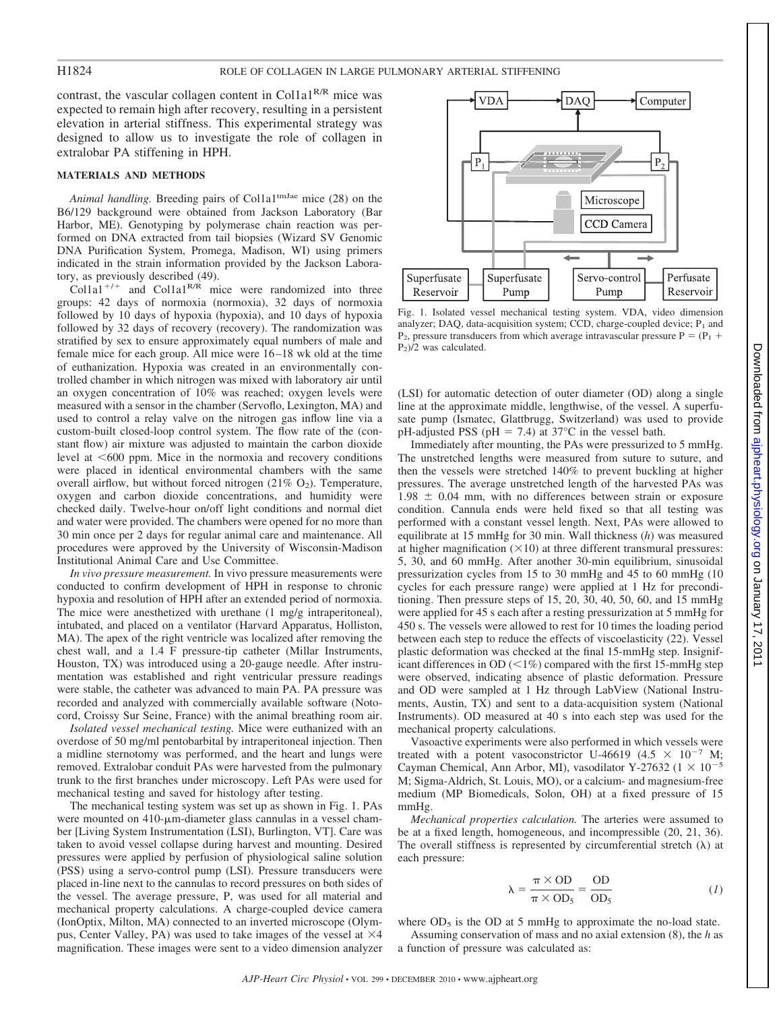contrast, the vascular collagen content in Col1a1<sup>R/R</sup> mice was expected to remain high after recovery, resulting in a persistent elevation in arterial stiffness. This experimental strategy was designed to allow us to investigate the role of collagen in extralobar PA stiffening in HPH.

## **MATERIALS AND METHODS**

Animal handling. Breeding pairs of Col1a1<sup>tmJae</sup> mice (28) on the B6/129 background were obtained from Jackson Laboratory (Bar Harbor, ME). Genotyping by polymerase chain reaction was performed on DNA extracted from tail biopsies (Wizard SV Genomic DNA Purification System, Promega, Madison, WI) using primers indicated in the strain information provided by the Jackson Laboratory, as previously described (49).

 $Collal^{+/+}$  and Col1a1<sup>R/R</sup> mice were randomized into three groups: 42 days of normoxia (normoxia), 32 days of normoxia followed by 10 days of hypoxia (hypoxia), and 10 days of hypoxia followed by 32 days of recovery (recovery). The randomization was stratified by sex to ensure approximately equal numbers of male and female mice for each group. All mice were 16 –18 wk old at the time of euthanization. Hypoxia was created in an environmentally controlled chamber in which nitrogen was mixed with laboratory air until an oxygen concentration of 10% was reached; oxygen levels were measured with a sensor in the chamber (Servoflo, Lexington, MA) and used to control a relay valve on the nitrogen gas inflow line via a custom-built closed-loop control system. The flow rate of the (constant flow) air mixture was adjusted to maintain the carbon dioxide level at <600 ppm. Mice in the normoxia and recovery conditions were placed in identical environmental chambers with the same overall airflow, but without forced nitrogen  $(21\% \text{ O}_2)$ . Temperature, oxygen and carbon dioxide concentrations, and humidity were checked daily. Twelve-hour on/off light conditions and normal diet and water were provided. The chambers were opened for no more than 30 min once per 2 days for regular animal care and maintenance. All procedures were approved by the University of Wisconsin-Madison Institutional Animal Care and Use Committee.

*In vivo pressure measurement.* In vivo pressure measurements were conducted to confirm development of HPH in response to chronic hypoxia and resolution of HPH after an extended period of normoxia. The mice were anesthetized with urethane (1 mg/g intraperitoneal), intubated, and placed on a ventilator (Harvard Apparatus, Holliston, MA). The apex of the right ventricle was localized after removing the chest wall, and a 1.4 F pressure-tip catheter (Millar Instruments, Houston, TX) was introduced using a 20-gauge needle. After instrumentation was established and right ventricular pressure readings were stable, the catheter was advanced to main PA. PA pressure was recorded and analyzed with commercially available software (Notocord, Croissy Sur Seine, France) with the animal breathing room air.

*Isolated vessel mechanical testing.* Mice were euthanized with an overdose of 50 mg/ml pentobarbital by intraperitoneal injection. Then a midline sternotomy was performed, and the heart and lungs were removed. Extralobar conduit PAs were harvested from the pulmonary trunk to the first branches under microscopy. Left PAs were used for mechanical testing and saved for histology after testing.

The mechanical testing system was set up as shown in Fig. 1. PAs were mounted on  $410$ - $\mu$ m-diameter glass cannulas in a vessel chamber [Living System Instrumentation (LSI), Burlington, VT]. Care was taken to avoid vessel collapse during harvest and mounting. Desired pressures were applied by perfusion of physiological saline solution (PSS) using a servo-control pump (LSI). Pressure transducers were placed in-line next to the cannulas to record pressures on both sides of the vessel. The average pressure, P, was used for all material and mechanical property calculations. A charge-coupled device camera (IonOptix, Milton, MA) connected to an inverted microscope (Olympus, Center Valley, PA) was used to take images of the vessel at  $\times$ 4 magnification. These images were sent to a video dimension analyzer



Fig. 1. Isolated vessel mechanical testing system. VDA, video dimension analyzer; DAQ, data-acquisition system; CCD, charge-coupled device;  $P_1$  and  $P_2$ , pressure transducers from which average intravascular pressure  $P = (P_1 + P_2)$ P2)/2 was calculated.

(LSI) for automatic detection of outer diameter (OD) along a single line at the approximate middle, lengthwise, of the vessel. A superfusate pump (Ismatec, Glattbrugg, Switzerland) was used to provide pH-adjusted PSS (pH = 7.4) at 37 $^{\circ}$ C in the vessel bath.

Immediately after mounting, the PAs were pressurized to 5 mmHg. The unstretched lengths were measured from suture to suture, and then the vessels were stretched 140% to prevent buckling at higher pressures. The average unstretched length of the harvested PAs was  $1.98 \pm 0.04$  mm, with no differences between strain or exposure condition. Cannula ends were held fixed so that all testing was performed with a constant vessel length. Next, PAs were allowed to equilibrate at 15 mmHg for 30 min. Wall thickness (*h*) was measured at higher magnification  $(\times 10)$  at three different transmural pressures: 5, 30, and 60 mmHg. After another 30-min equilibrium, sinusoidal pressurization cycles from 15 to 30 mmHg and 45 to 60 mmHg (10 cycles for each pressure range) were applied at 1 Hz for preconditioning. Then pressure steps of 15, 20, 30, 40, 50, 60, and 15 mmHg were applied for 45 s each after a resting pressurization at 5 mmHg for 450 s. The vessels were allowed to rest for 10 times the loading period between each step to reduce the effects of viscoelasticity (22). Vessel plastic deformation was checked at the final 15-mmHg step. Insignificant differences in OD  $\left( \langle 1\% \rangle \right)$  compared with the first 15-mmHg step were observed, indicating absence of plastic deformation. Pressure and OD were sampled at 1 Hz through LabView (National Instruments, Austin, TX) and sent to a data-acquisition system (National Instruments). OD measured at 40 s into each step was used for the mechanical property calculations.

Vasoactive experiments were also performed in which vessels were treated with a potent vasoconstrictor U-46619 (4.5  $\times$  10<sup>-7</sup> M; Cayman Chemical, Ann Arbor, MI), vasodilator Y-27632 ( $1 \times 10^{-5}$ M; Sigma-Aldrich, St. Louis, MO), or a calcium- and magnesium-free medium (MP Biomedicals, Solon, OH) at a fixed pressure of 15 mmHg.

*Mechanical properties calculation.* The arteries were assumed to be at a fixed length, homogeneous, and incompressible (20, 21, 36). The overall stiffness is represented by circumferential stretch  $(\lambda)$  at each pressure:

$$
\lambda = \frac{\pi \times OD}{\pi \times OD_5} = \frac{OD}{OD_5}
$$
 (1)

where  $OD_5$  is the OD at 5 mmHg to approximate the no-load state.

Assuming conservation of mass and no axial extension (8), the *h* as a function of pressure was calculated as: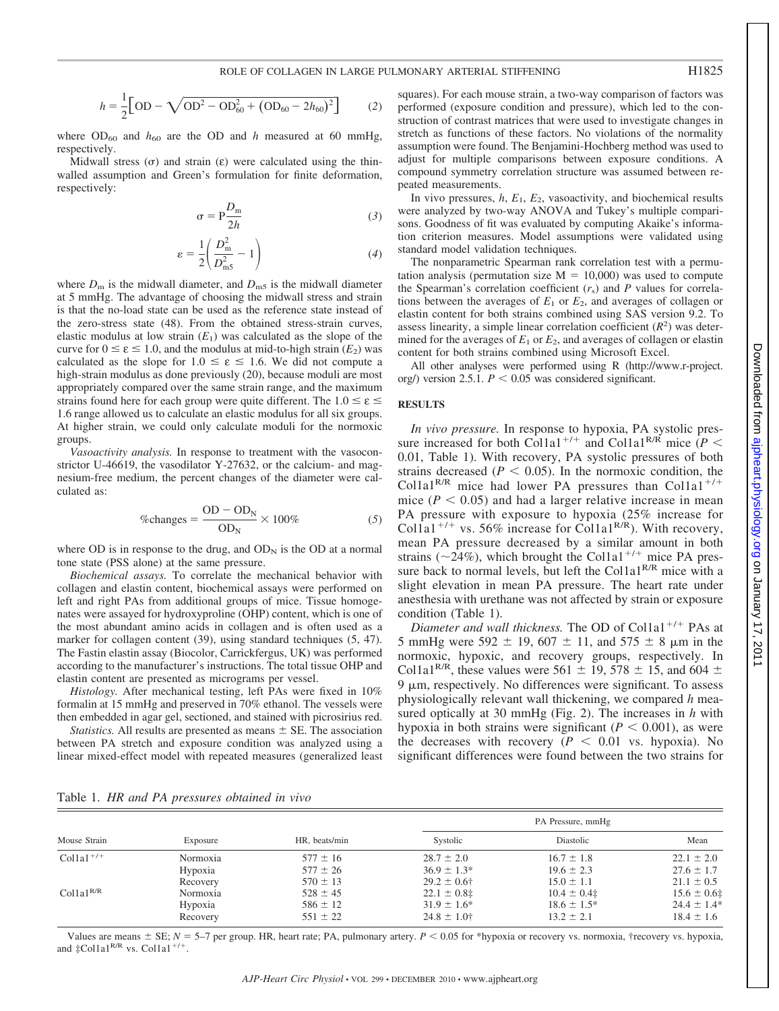$$
h = \frac{1}{2} \Big[ \text{OD} - \sqrt{\text{OD}^2 - \text{OD}_{60}^2 + (\text{OD}_{60} - 2h_{60})^2} \Big] \tag{2}
$$

where  $OD_{60}$  and  $h_{60}$  are the OD and  $h$  measured at 60 mmHg, respectively.

Midwall stress  $(\sigma)$  and strain  $(\varepsilon)$  were calculated using the thinwalled assumption and Green's formulation for finite deformation, respectively:

$$
\sigma = P \frac{D_m}{2h} \tag{3}
$$

$$
\varepsilon = \frac{1}{2} \left( \frac{D_{\text{m}}^2}{D_{\text{m}}^2} - 1 \right) \tag{4}
$$

where  $D_m$  is the midwall diameter, and  $D_{m5}$  is the midwall diameter at 5 mmHg. The advantage of choosing the midwall stress and strain is that the no-load state can be used as the reference state instead of the zero-stress state (48). From the obtained stress-strain curves, elastic modulus at low strain  $(E_1)$  was calculated as the slope of the curve for  $0 \le \varepsilon \le 1.0$ , and the modulus at mid-to-high strain  $(E_2)$  was calculated as the slope for  $1.0 \le \varepsilon \le 1.6$ . We did not compute a high-strain modulus as done previously (20), because moduli are most appropriately compared over the same strain range, and the maximum strains found here for each group were quite different. The  $1.0 \le \varepsilon \le$ 1.6 range allowed us to calculate an elastic modulus for all six groups. At higher strain, we could only calculate moduli for the normoxic groups.

*Vasoactivity analysis.* In response to treatment with the vasoconstrictor U-46619, the vasodilator Y-27632, or the calcium- and magnesium-free medium, the percent changes of the diameter were calculated as:

$$
\%changes = \frac{OD - OD_N}{OD_N} \times 100\% \tag{5}
$$

where OD is in response to the drug, and  $OD<sub>N</sub>$  is the OD at a normal tone state (PSS alone) at the same pressure.

*Biochemical assays.* To correlate the mechanical behavior with collagen and elastin content, biochemical assays were performed on left and right PAs from additional groups of mice. Tissue homogenates were assayed for hydroxyproline (OHP) content, which is one of the most abundant amino acids in collagen and is often used as a marker for collagen content (39), using standard techniques (5, 47). The Fastin elastin assay (Biocolor, Carrickfergus, UK) was performed according to the manufacturer's instructions. The total tissue OHP and elastin content are presented as micrograms per vessel.

*Histology.* After mechanical testing, left PAs were fixed in 10% formalin at 15 mmHg and preserved in 70% ethanol. The vessels were then embedded in agar gel, sectioned, and stained with picrosirius red.

*Statistics*. All results are presented as means  $\pm$  SE. The association between PA stretch and exposure condition was analyzed using a linear mixed-effect model with repeated measures (generalized least squares). For each mouse strain, a two-way comparison of factors was performed (exposure condition and pressure), which led to the construction of contrast matrices that were used to investigate changes in stretch as functions of these factors. No violations of the normality assumption were found. The Benjamini-Hochberg method was used to adjust for multiple comparisons between exposure conditions. A compound symmetry correlation structure was assumed between repeated measurements.

In vivo pressures, *h*, *E*1, *E*2, vasoactivity, and biochemical results were analyzed by two-way ANOVA and Tukey's multiple comparisons. Goodness of fit was evaluated by computing Akaike's information criterion measures. Model assumptions were validated using standard model validation techniques.

The nonparametric Spearman rank correlation test with a permutation analysis (permutation size  $M = 10,000$ ) was used to compute the Spearman's correlation coefficient  $(r<sub>s</sub>)$  and *P* values for correlations between the averages of *E*1 or *E*2, and averages of collagen or elastin content for both strains combined using SAS version 9.2. To assess linearity, a simple linear correlation coefficient  $(R<sup>2</sup>)$  was determined for the averages of  $E_1$  or  $E_2$ , and averages of collagen or elastin content for both strains combined using Microsoft Excel.

All other analyses were performed using R (http://www.r-project. org/) version 2.5.1.  $P < 0.05$  was considered significant.

## **RESULTS**

*In vivo pressure.* In response to hypoxia, PA systolic pressure increased for both Col1a1<sup>+/+</sup> and Col1a1<sup>R/R</sup> mice  $(P <$ 0.01, Table 1). With recovery, PA systolic pressures of both strains decreased  $(P < 0.05)$ . In the normoxic condition, the Col1a1<sup>R/R</sup> mice had lower PA pressures than Col1a1<sup>+/+</sup> mice  $(P < 0.05)$  and had a larger relative increase in mean PA pressure with exposure to hypoxia (25% increase for Col1a1<sup>+/+</sup> vs. 56% increase for Col1a1<sup>R/R</sup>). With recovery, mean PA pressure decreased by a similar amount in both strains ( $\sim$ 24%), which brought the Col1a1<sup>+/+</sup> mice PA pressure back to normal levels, but left the Col1a1<sup>R/R</sup> mice with a slight elevation in mean PA pressure. The heart rate under anesthesia with urethane was not affected by strain or exposure condition (Table 1).

*Diameter and wall thickness.* The OD of Col1a1<sup>+/+</sup> PAs at 5 mmHg were 592  $\pm$  19, 607  $\pm$  11, and 575  $\pm$  8  $\mu$ m in the normoxic, hypoxic, and recovery groups, respectively. In Col1a1<sup>R/R</sup>, these values were 561  $\pm$  19, 578  $\pm$  15, and 604  $\pm$  $9 \mu m$ , respectively. No differences were significant. To assess physiologically relevant wall thickening, we compared *h* measured optically at 30 mmHg (Fig. 2). The increases in *h* with hypoxia in both strains were significant  $(P < 0.001)$ , as were the decreases with recovery  $(P < 0.01$  vs. hypoxia). No significant differences were found between the two strains for

|  |  |  |  |  | Table 1. HR and PA pressures obtained in vivo |  |  |  |
|--|--|--|--|--|-----------------------------------------------|--|--|--|
|--|--|--|--|--|-----------------------------------------------|--|--|--|

| Mouse Strain   |          |               | PA Pressure, mmHg |                  |                 |  |
|----------------|----------|---------------|-------------------|------------------|-----------------|--|
|                | Exposure | HR, beats/min | Systolic          | Diastolic        | Mean            |  |
| $Collal^{+/+}$ | Normoxia | $577 \pm 16$  | $28.7 \pm 2.0$    | $16.7 \pm 1.8$   | $22.1 \pm 2.0$  |  |
|                | Hypoxia  | $577 \pm 26$  | $36.9 \pm 1.3^*$  | $19.6 \pm 2.3$   | $27.6 \pm 1.7$  |  |
|                | Recovery | $570 \pm 13$  | $29.2 \pm 0.6$ †  | $15.0 \pm 1.1$   | $21.1 \pm 0.5$  |  |
| $Colla1^{R/R}$ | Normoxia | $528 \pm 45$  | $22.1 \pm 0.8$ ‡  | $10.4 \pm 0.4$   | $15.6 \pm 0.6$  |  |
|                | Hypoxia  | $586 \pm 12$  | $31.9 \pm 1.6^*$  | $18.6 \pm 1.5^*$ | $24.4 \pm 1.4*$ |  |
|                | Recovery | $551 \pm 22$  | $24.8 \pm 1.0$ †  | $13.2 \pm 2.1$   | $18.4 \pm 1.6$  |  |

Values are means  $\pm$  SE;  $N = 5$ –7 per group. HR, heart rate; PA, pulmonary artery.  $P < 0.05$  for \*hypoxia or recovery vs. normoxia, †recovery vs. hypoxia, and  $\pm$ Col1a1<sup>R/R</sup> vs. Col1a1<sup>+/+</sup>.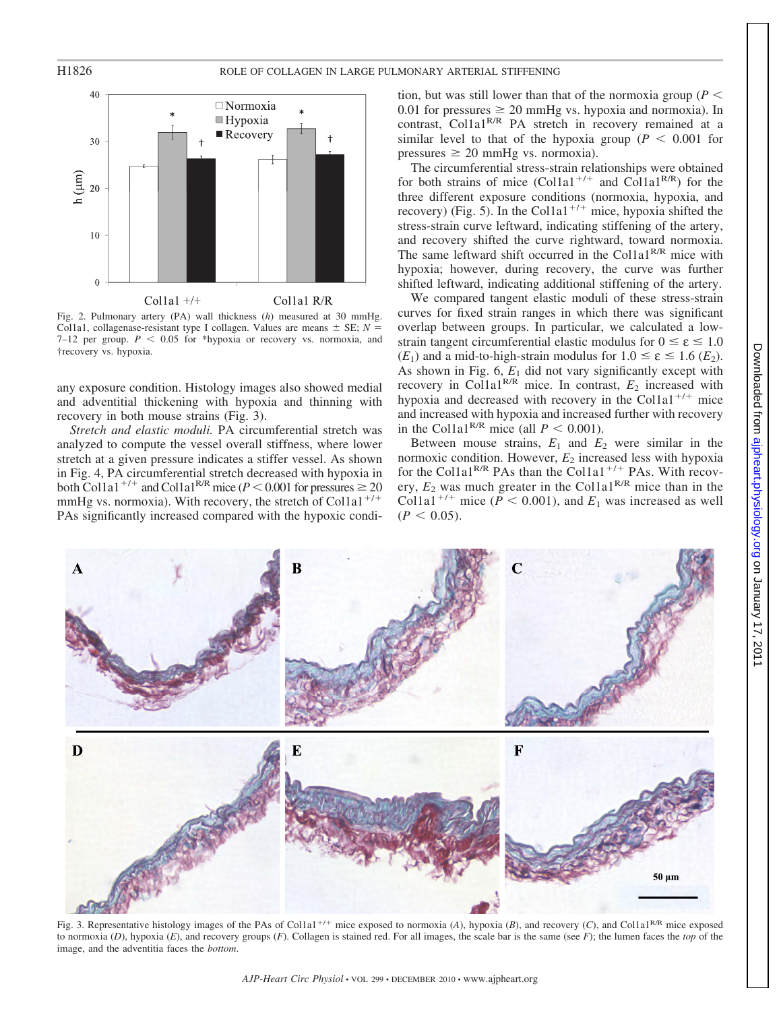

Fig. 2. Pulmonary artery (PA) wall thickness (*h*) measured at 30 mmHg. Col1a1, collagenase-resistant type I collagen. Values are means  $\pm$  SE;  $N =$  $7-12$  per group.  $P < 0.05$  for \*hypoxia or recovery vs. normoxia, and †recovery vs. hypoxia.

any exposure condition. Histology images also showed medial and adventitial thickening with hypoxia and thinning with recovery in both mouse strains (Fig. 3).

*Stretch and elastic moduli.* PA circumferential stretch was analyzed to compute the vessel overall stiffness, where lower stretch at a given pressure indicates a stiffer vessel. As shown in Fig. 4, PA circumferential stretch decreased with hypoxia in both Col1a1<sup>+/+</sup> and Col1a1<sup>R/R</sup> mice ( $P < 0.001$  for pressures  $\ge 20$ mmHg vs. normoxia). With recovery, the stretch of Col1a1<sup>+/+</sup> PAs significantly increased compared with the hypoxic condi-

tion, but was still lower than that of the normoxia group ( $P \leq$ 0.01 for pressures  $\geq 20$  mmHg vs. hypoxia and normoxia). In contrast, Col1a1<sup>R/R</sup> PA stretch in recovery remained at a similar level to that of the hypoxia group ( $P < 0.001$  for  $pressures \geq 20$  mmHg vs. normoxia).

The circumferential stress-strain relationships were obtained for both strains of mice  $(Col1a1^{+/+}$  and  $Col1a1^{R/R}$ ) for the three different exposure conditions (normoxia, hypoxia, and recovery) (Fig. 5). In the Col1a1<sup>+/+</sup> mice, hypoxia shifted the stress-strain curve leftward, indicating stiffening of the artery, and recovery shifted the curve rightward, toward normoxia. The same leftward shift occurred in the Col1a1<sup>R/R</sup> mice with hypoxia; however, during recovery, the curve was further shifted leftward, indicating additional stiffening of the artery.

We compared tangent elastic moduli of these stress-strain curves for fixed strain ranges in which there was significant overlap between groups. In particular, we calculated a lowstrain tangent circumferential elastic modulus for  $0 \le \varepsilon \le 1.0$ (*E*<sub>1</sub>) and a mid-to-high-strain modulus for  $1.0 \le \varepsilon \le 1.6$  (*E*<sub>2</sub>). As shown in Fig.  $6$ ,  $E_1$  did not vary significantly except with recovery in Col1a1<sup>R/R</sup> mice. In contrast,  $E_2$  increased with hypoxia and decreased with recovery in the Col1a1<sup>+/+</sup> mice and increased with hypoxia and increased further with recovery in the Col1a1<sup>R/R</sup> mice (all  $P < 0.001$ ).

Between mouse strains,  $E_1$  and  $E_2$  were similar in the normoxic condition. However, *E*<sup>2</sup> increased less with hypoxia for the Col1a1<sup>R/R</sup> PAs than the Col1a1<sup>+/+</sup> PAs. With recovery,  $E_2$  was much greater in the Col1a1<sup>R/R</sup> mice than in the Col1a1<sup>+/+</sup> mice ( $\overline{P}$  < 0.001), and  $E_1$  was increased as well  $(P < 0.05)$ .



Fig. 3. Representative histology images of the PAs of Col1a1<sup>+/+</sup> mice exposed to normoxia (*A*), hypoxia (*B*), and recovery (*C*), and Col1a1<sup>R/R</sup> mice exposed to normoxia (*D*), hypoxia (*E*), and recovery groups (*F*). Collagen is stained red. For all images, the scale bar is the same (see *F*); the lumen faces the *top* of the image, and the adventitia faces the *bottom*.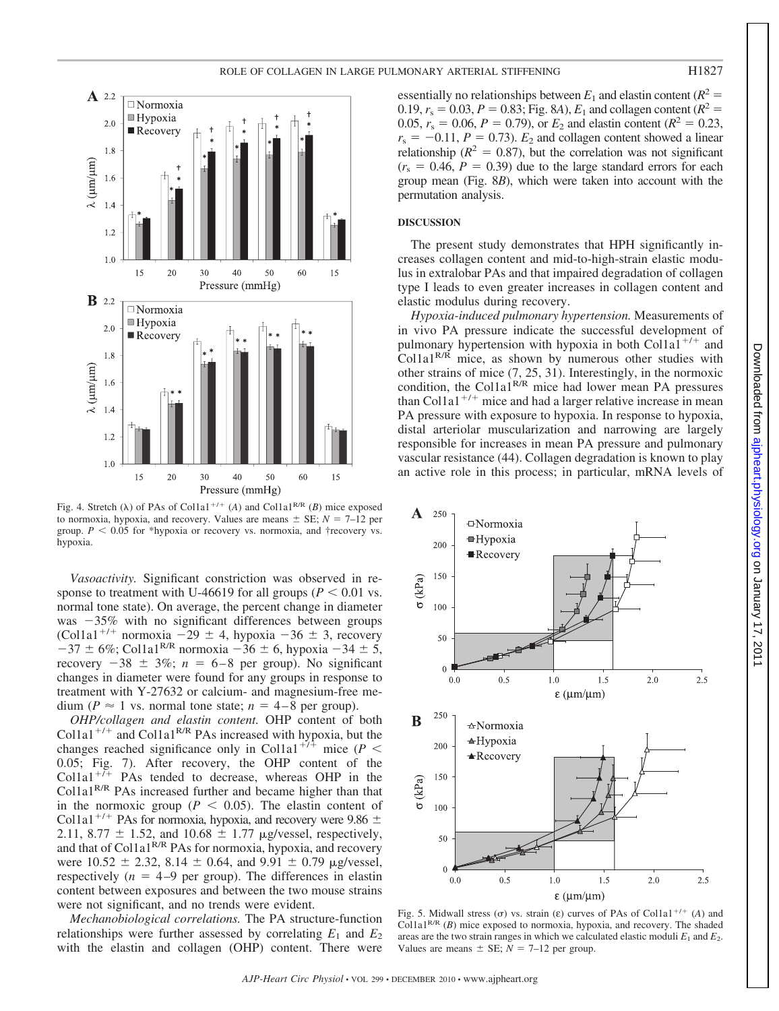

Fig. 4. Stretch ( $\lambda$ ) of PAs of Col1a1<sup>+/+</sup> (*A*) and Col1a1<sup>R/R</sup> (*B*) mice exposed to normoxia, hypoxia, and recovery. Values are means  $\pm$  SE;  $N = 7$ –12 per group.  $P < 0.05$  for \*hypoxia or recovery vs. normoxia, and †recovery vs. hypoxia.

*Vasoactivity.* Significant constriction was observed in response to treatment with U-46619 for all groups ( $P < 0.01$  vs. normal tone state). On average, the percent change in diameter was  $-35\%$  with no significant differences between groups (Col1a1<sup>+/+</sup> normoxia  $-29 \pm 4$ , hypoxia  $-36 \pm 3$ , recovery  $-37 \pm 6\%$ ; Col1a1<sup>R/R</sup> normoxia  $-36 \pm 6$ , hypoxia  $-34 \pm 5$ , recovery  $-38 \pm 3\%$ ;  $n = 6 - 8$  per group). No significant changes in diameter were found for any groups in response to treatment with Y-27632 or calcium- and magnesium-free medium ( $P \approx 1$  vs. normal tone state;  $n = 4 - 8$  per group).

*OHP/collagen and elastin content.* OHP content of both Col1a1<sup>+/+</sup> and Col1a1<sup>R/R</sup> PAs increased with hypoxia, but the changes reached significance only in Col1a1<sup>+74</sup> mice ( $P$  < 0.05; Fig. 7). After recovery, the OHP content of the Col1a1<sup>+ $\bar{$ + PAs tended to decrease, whereas OHP in the</sup> Col1a1R/R PAs increased further and became higher than that in the normoxic group ( $P < 0.05$ ). The elastin content of Col1a1<sup>+/+</sup> PAs for normoxia, hypoxia, and recovery were 9.86  $\pm$ 2.11, 8.77  $\pm$  1.52, and 10.68  $\pm$  1.77 µg/vessel, respectively, and that of Col1a1<sup>R/R</sup> PAs for normoxia, hypoxia, and recovery were  $10.52 \pm 2.32$ ,  $8.14 \pm 0.64$ , and  $9.91 \pm 0.79$  µg/vessel, respectively  $(n = 4-9)$  per group). The differences in elastin content between exposures and between the two mouse strains were not significant, and no trends were evident.

*Mechanobiological correlations.* The PA structure-function relationships were further assessed by correlating  $E_1$  and  $E_2$ with the elastin and collagen (OHP) content. There were essentially no relationships between  $E_1$  and elastin content ( $R^2$  = 0.19,  $r_s = 0.03$ ,  $P = 0.83$ ; Fig. 8*A*),  $E_1$  and collagen content ( $R^2 =$ 0.05,  $r_s = 0.06$ ,  $P = 0.79$ ), or  $E_2$  and elastin content ( $R^2 = 0.23$ ,  $r_s = -0.11$ ,  $P = 0.73$ ).  $E_2$  and collagen content showed a linear relationship ( $R^2 = 0.87$ ), but the correlation was not significant  $(r<sub>s</sub> = 0.46, P = 0.39)$  due to the large standard errors for each group mean (Fig. 8*B*), which were taken into account with the permutation analysis.

## **DISCUSSION**

The present study demonstrates that HPH significantly increases collagen content and mid-to-high-strain elastic modulus in extralobar PAs and that impaired degradation of collagen type I leads to even greater increases in collagen content and elastic modulus during recovery.

*Hypoxia-induced pulmonary hypertension.* Measurements of in vivo PA pressure indicate the successful development of pulmonary hypertension with hypoxia in both Col1a1<sup>+/+</sup> and  $Collal<sup>R/R</sup>$  mice, as shown by numerous other studies with other strains of mice (7, 25, 31). Interestingly, in the normoxic condition, the Col1a1<sup>R/R</sup> mice had lower mean PA pressures than Col1a1<sup>+/+</sup> mice and had a larger relative increase in mean PA pressure with exposure to hypoxia. In response to hypoxia, distal arteriolar muscularization and narrowing are largely responsible for increases in mean PA pressure and pulmonary vascular resistance (44). Collagen degradation is known to play an active role in this process; in particular, mRNA levels of



Fig. 5. Midwall stress  $(\sigma)$  vs. strain  $(\varepsilon)$  curves of PAs of Col1a1<sup>+/+</sup> (*A*) and Col1a1R/R (*B*) mice exposed to normoxia, hypoxia, and recovery. The shaded areas are the two strain ranges in which we calculated elastic moduli  $E_1$  and  $E_2$ . Values are means  $\pm$  SE;  $N = 7$ –12 per group.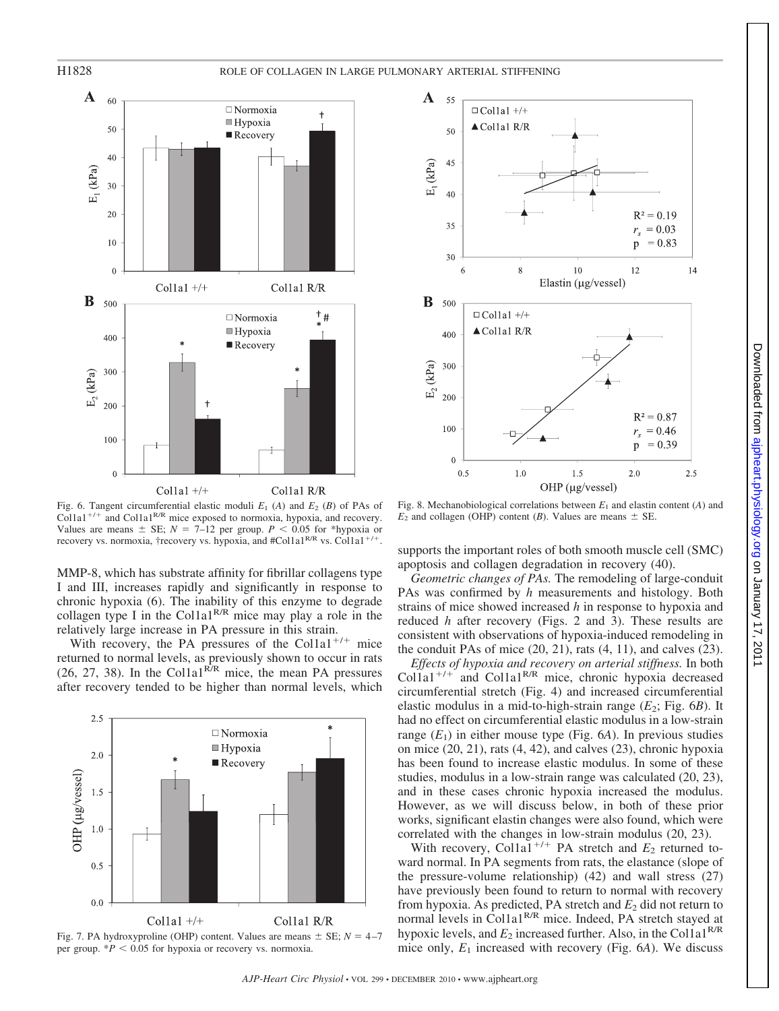

Fig. 6. Tangent circumferential elastic moduli  $E_1$  (A) and  $E_2$  (B) of PAs of Col1a1<sup>+/+</sup> and Col1a1<sup>R/R</sup> mice exposed to normoxia, hypoxia, and recovery. Values are means  $\pm$  SE;  $N = 7$ –12 per group.  $P < 0.05$  for \*hypoxia or recovery vs. normoxia, †recovery vs. hypoxia, and #Col1a1<sup>R/R</sup> vs. Col1a1<sup>+/+</sup>

MMP-8, which has substrate affinity for fibrillar collagens type I and III, increases rapidly and significantly in response to chronic hypoxia (6). The inability of this enzyme to degrade collagen type I in the Col1a1<sup>R/R</sup> mice may play a role in the relatively large increase in PA pressure in this strain.

With recovery, the PA pressures of the Col1a1<sup>+/+</sup> mice returned to normal levels, as previously shown to occur in rats (26, 27, 38). In the Col1a1<sup>R/R</sup> mice, the mean PA pressures after recovery tended to be higher than normal levels, which







Fig. 8. Mechanobiological correlations between *E*1 and elastin content (*A*) and  $E_2$  and collagen (OHP) content (*B*). Values are means  $\pm$  SE.

supports the important roles of both smooth muscle cell (SMC) apoptosis and collagen degradation in recovery (40).

*Geometric changes of PAs.* The remodeling of large-conduit PAs was confirmed by *h* measurements and histology. Both strains of mice showed increased *h* in response to hypoxia and reduced *h* after recovery (Figs. 2 and 3). These results are consistent with observations of hypoxia-induced remodeling in the conduit PAs of mice  $(20, 21)$ , rats  $(4, 11)$ , and calves  $(23)$ .

*Effects of hypoxia and recovery on arterial stiffness.* In both Col1a1<sup>+/+</sup> and Col1a1<sup>R/R</sup> mice, chronic hypoxia decreased circumferential stretch (Fig. 4) and increased circumferential elastic modulus in a mid-to-high-strain range (*E*2; Fig. 6*B*). It had no effect on circumferential elastic modulus in a low-strain range  $(E_1)$  in either mouse type (Fig. 6A). In previous studies on mice (20, 21), rats (4, 42), and calves (23), chronic hypoxia has been found to increase elastic modulus. In some of these studies, modulus in a low-strain range was calculated (20, 23), and in these cases chronic hypoxia increased the modulus. However, as we will discuss below, in both of these prior works, significant elastin changes were also found, which were correlated with the changes in low-strain modulus (20, 23).

With recovery, Colla $1^{+/+}$  PA stretch and  $E_2$  returned toward normal. In PA segments from rats, the elastance (slope of the pressure-volume relationship) (42) and wall stress (27) have previously been found to return to normal with recovery from hypoxia. As predicted, PA stretch and  $E_2$  did not return to normal levels in Col1a1<sup>R/R</sup> mice. Indeed, PA stretch stayed at hypoxic levels, and  $E_2$  increased further. Also, in the Col1a1<sup>R/R</sup> mice only, *E*<sup>1</sup> increased with recovery (Fig. 6*A*). We discuss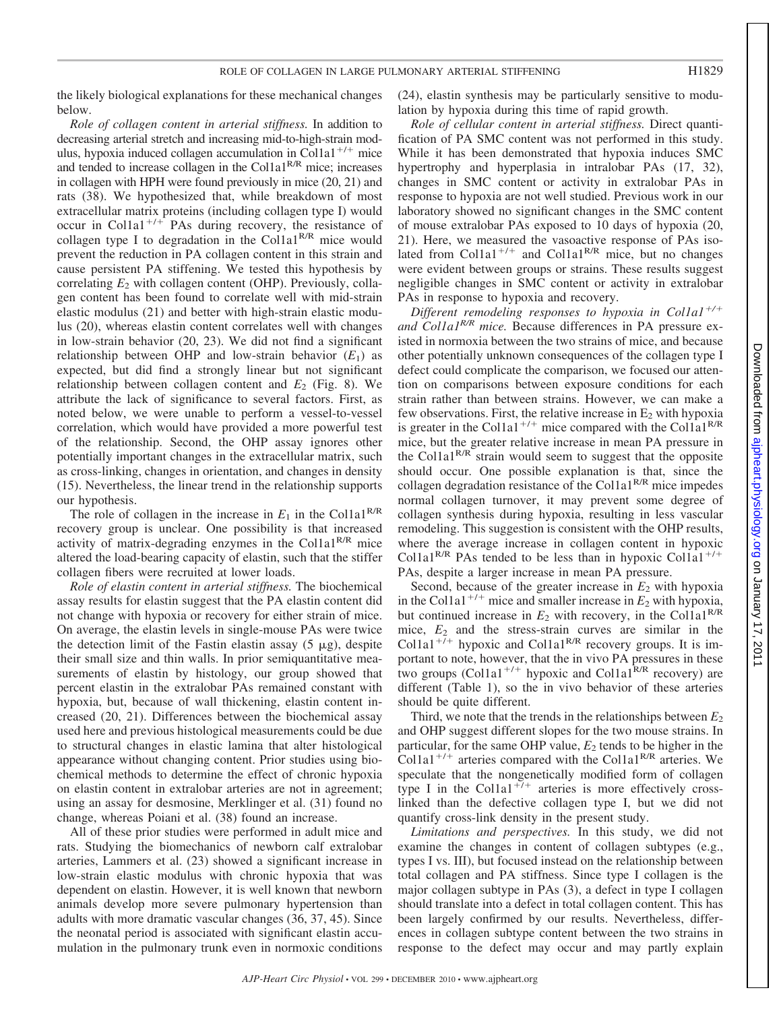the likely biological explanations for these mechanical changes below.

*Role of collagen content in arterial stiffness.* In addition to decreasing arterial stretch and increasing mid-to-high-strain modulus, hypoxia induced collagen accumulation in Col1a1<sup>+/+</sup> mice and tended to increase collagen in the Col1a1<sup>R/R</sup> mice; increases in collagen with HPH were found previously in mice (20, 21) and rats (38). We hypothesized that, while breakdown of most extracellular matrix proteins (including collagen type I) would occur in Col1a1<sup>+/+</sup> PAs during recovery, the resistance of collagen type I to degradation in the Col1a1<sup>R/R</sup> mice would prevent the reduction in PA collagen content in this strain and cause persistent PA stiffening. We tested this hypothesis by correlating  $E_2$  with collagen content (OHP). Previously, collagen content has been found to correlate well with mid-strain elastic modulus (21) and better with high-strain elastic modulus (20), whereas elastin content correlates well with changes in low-strain behavior (20, 23). We did not find a significant relationship between OHP and low-strain behavior  $(E_1)$  as expected, but did find a strongly linear but not significant relationship between collagen content and  $E_2$  (Fig. 8). We attribute the lack of significance to several factors. First, as noted below, we were unable to perform a vessel-to-vessel correlation, which would have provided a more powerful test of the relationship. Second, the OHP assay ignores other potentially important changes in the extracellular matrix, such as cross-linking, changes in orientation, and changes in density (15). Nevertheless, the linear trend in the relationship supports our hypothesis.

The role of collagen in the increase in  $E_1$  in the Col1a1<sup>R/R</sup> recovery group is unclear. One possibility is that increased activity of matrix-degrading enzymes in the Col1a1<sup>R/R</sup> mice altered the load-bearing capacity of elastin, such that the stiffer collagen fibers were recruited at lower loads.

*Role of elastin content in arterial stiffness.* The biochemical assay results for elastin suggest that the PA elastin content did not change with hypoxia or recovery for either strain of mice. On average, the elastin levels in single-mouse PAs were twice the detection limit of the Fastin elastin assay  $(5 \mu g)$ , despite their small size and thin walls. In prior semiquantitative measurements of elastin by histology, our group showed that percent elastin in the extralobar PAs remained constant with hypoxia, but, because of wall thickening, elastin content increased (20, 21). Differences between the biochemical assay used here and previous histological measurements could be due to structural changes in elastic lamina that alter histological appearance without changing content. Prior studies using biochemical methods to determine the effect of chronic hypoxia on elastin content in extralobar arteries are not in agreement; using an assay for desmosine, Merklinger et al. (31) found no change, whereas Poiani et al. (38) found an increase.

All of these prior studies were performed in adult mice and rats. Studying the biomechanics of newborn calf extralobar arteries, Lammers et al. (23) showed a significant increase in low-strain elastic modulus with chronic hypoxia that was dependent on elastin. However, it is well known that newborn animals develop more severe pulmonary hypertension than adults with more dramatic vascular changes (36, 37, 45). Since the neonatal period is associated with significant elastin accumulation in the pulmonary trunk even in normoxic conditions (24), elastin synthesis may be particularly sensitive to modulation by hypoxia during this time of rapid growth.

*Role of cellular content in arterial stiffness.* Direct quantification of PA SMC content was not performed in this study. While it has been demonstrated that hypoxia induces SMC hypertrophy and hyperplasia in intralobar PAs (17, 32), changes in SMC content or activity in extralobar PAs in response to hypoxia are not well studied. Previous work in our laboratory showed no significant changes in the SMC content of mouse extralobar PAs exposed to 10 days of hypoxia (20, 21). Here, we measured the vasoactive response of PAs isolated from Col1a1<sup>+/+</sup> and Col1a1<sup>R/R</sup> mice, but no changes were evident between groups or strains. These results suggest negligible changes in SMC content or activity in extralobar PAs in response to hypoxia and recovery.

*Different remodeling responses to hypoxia in Col1a1<sup>+/+</sup> and Col1a1R/R mice.* Because differences in PA pressure existed in normoxia between the two strains of mice, and because other potentially unknown consequences of the collagen type I defect could complicate the comparison, we focused our attention on comparisons between exposure conditions for each strain rather than between strains. However, we can make a few observations. First, the relative increase in  $E_2$  with hypoxia is greater in the Col1a1<sup>+/+</sup> mice compared with the Col1a1<sup>R/R</sup> mice, but the greater relative increase in mean PA pressure in the Col1a1<sup>R/R</sup> strain would seem to suggest that the opposite should occur. One possible explanation is that, since the collagen degradation resistance of the Col1a1<sup>R/R</sup> mice impedes normal collagen turnover, it may prevent some degree of collagen synthesis during hypoxia, resulting in less vascular remodeling. This suggestion is consistent with the OHP results, where the average increase in collagen content in hypoxic Col1a1<sup>R/R</sup> PAs tended to be less than in hypoxic Col1a1<sup>+/+</sup> PAs, despite a larger increase in mean PA pressure.

Second, because of the greater increase in  $E_2$  with hypoxia in the Col1a1<sup>+/+</sup> mice and smaller increase in  $E_2$  with hypoxia, but continued increase in  $E_2$  with recovery, in the Col1a1<sup>R/R</sup> mice,  $E_2$  and the stress-strain curves are similar in the Col1a1<sup>+/+</sup> hypoxic and Col1a1<sup>R/R</sup> recovery groups. It is important to note, however, that the in vivo PA pressures in these two groups (Col1a1<sup>+/+</sup> hypoxic and Col1a1<sup>R/R</sup> recovery) are different (Table 1), so the in vivo behavior of these arteries should be quite different.

Third, we note that the trends in the relationships between  $E_2$ and OHP suggest different slopes for the two mouse strains. In particular, for the same OHP value,  $E_2$  tends to be higher in the Col1a1<sup>+/+</sup> arteries compared with the Col1a1<sup>R/R</sup> arteries. We speculate that the nongenetically modified form of collagen type I in the Col1a1<sup>+7+</sup> arteries is more effectively crosslinked than the defective collagen type I, but we did not quantify cross-link density in the present study.

*Limitations and perspectives.* In this study, we did not examine the changes in content of collagen subtypes (e.g., types I vs. III), but focused instead on the relationship between total collagen and PA stiffness. Since type I collagen is the major collagen subtype in PAs (3), a defect in type I collagen should translate into a defect in total collagen content. This has been largely confirmed by our results. Nevertheless, differences in collagen subtype content between the two strains in response to the defect may occur and may partly explain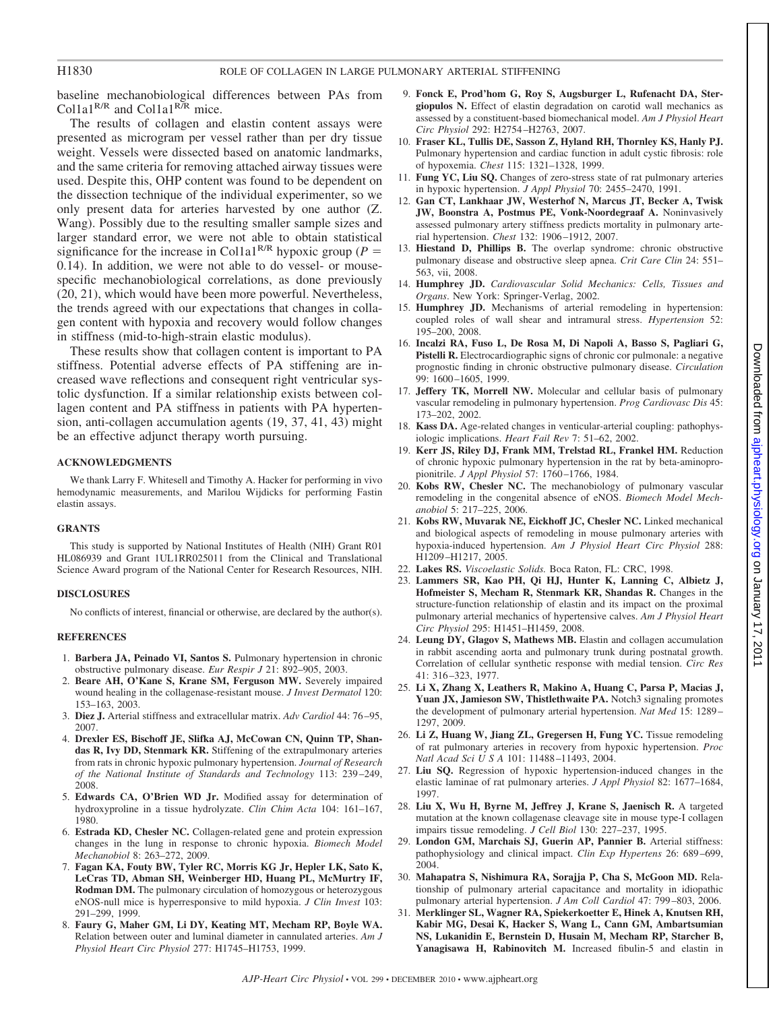## H1830 ROLE OF COLLAGEN IN LARGE PULMONARY ARTERIAL STIFFENING

baseline mechanobiological differences between PAs from Col1a1<sup>R/R</sup> and Col1a1<sup>R/R</sup> mice.

The results of collagen and elastin content assays were presented as microgram per vessel rather than per dry tissue weight. Vessels were dissected based on anatomic landmarks, and the same criteria for removing attached airway tissues were used. Despite this, OHP content was found to be dependent on the dissection technique of the individual experimenter, so we only present data for arteries harvested by one author (Z. Wang). Possibly due to the resulting smaller sample sizes and larger standard error, we were not able to obtain statistical significance for the increase in Col1a1<sup>R/R</sup> hypoxic group ( $P =$ 0.14). In addition, we were not able to do vessel- or mousespecific mechanobiological correlations, as done previously (20, 21), which would have been more powerful. Nevertheless, the trends agreed with our expectations that changes in collagen content with hypoxia and recovery would follow changes in stiffness (mid-to-high-strain elastic modulus).

These results show that collagen content is important to PA stiffness. Potential adverse effects of PA stiffening are increased wave reflections and consequent right ventricular systolic dysfunction. If a similar relationship exists between collagen content and PA stiffness in patients with PA hypertension, anti-collagen accumulation agents (19, 37, 41, 43) might be an effective adjunct therapy worth pursuing.

## **ACKNOWLEDGMENTS**

We thank Larry F. Whitesell and Timothy A. Hacker for performing in vivo hemodynamic measurements, and Marilou Wijdicks for performing Fastin elastin assays.

## **GRANTS**

This study is supported by National Institutes of Health (NIH) Grant R01 HL086939 and Grant 1UL1RR025011 from the Clinical and Translational Science Award program of the National Center for Research Resources, NIH.

### **DISCLOSURES**

No conflicts of interest, financial or otherwise, are declared by the author(s).

## **REFERENCES**

- 1. **Barbera JA, Peinado VI, Santos S.** Pulmonary hypertension in chronic obstructive pulmonary disease. *Eur Respir J* 21: 892–905, 2003.
- 2. **Beare AH, O'Kane S, Krane SM, Ferguson MW.** Severely impaired wound healing in the collagenase-resistant mouse. *J Invest Dermatol* 120: 153–163, 2003.
- 3. **Diez J.** Arterial stiffness and extracellular matrix. *Adv Cardiol* 44: 76 –95, 2007.
- 4. **Drexler ES, Bischoff JE, Slifka AJ, McCowan CN, Quinn TP, Shandas R, Ivy DD, Stenmark KR.** Stiffening of the extrapulmonary arteries from rats in chronic hypoxic pulmonary hypertension. *Journal of Research of the National Institute of Standards and Technology* 113: 239 –249, 2008.
- 5. **Edwards CA, O'Brien WD Jr.** Modified assay for determination of hydroxyproline in a tissue hydrolyzate. *Clin Chim Acta* 104: 161–167, 1980.
- 6. **Estrada KD, Chesler NC.** Collagen-related gene and protein expression changes in the lung in response to chronic hypoxia. *Biomech Model Mechanobiol* 8: 263–272, 2009.
- 7. **Fagan KA, Fouty BW, Tyler RC, Morris KG Jr, Hepler LK, Sato K, LeCras TD, Abman SH, Weinberger HD, Huang PL, McMurtry IF, Rodman DM.** The pulmonary circulation of homozygous or heterozygous eNOS-null mice is hyperresponsive to mild hypoxia. *J Clin Invest* 103: 291–299, 1999.
- 8. **Faury G, Maher GM, Li DY, Keating MT, Mecham RP, Boyle WA.** Relation between outer and luminal diameter in cannulated arteries. *Am J Physiol Heart Circ Physiol* 277: H1745–H1753, 1999.
- 9. **Fonck E, Prod'hom G, Roy S, Augsburger L, Rufenacht DA, Stergiopulos N.** Effect of elastin degradation on carotid wall mechanics as assessed by a constituent-based biomechanical model. *Am J Physiol Heart Circ Physiol* 292: H2754 –H2763, 2007.
- 10. **Fraser KL, Tullis DE, Sasson Z, Hyland RH, Thornley KS, Hanly PJ.** Pulmonary hypertension and cardiac function in adult cystic fibrosis: role of hypoxemia. *Chest* 115: 1321–1328, 1999.
- 11. **Fung YC, Liu SQ.** Changes of zero-stress state of rat pulmonary arteries in hypoxic hypertension. *J Appl Physiol* 70: 2455–2470, 1991.
- 12. **Gan CT, Lankhaar JW, Westerhof N, Marcus JT, Becker A, Twisk JW, Boonstra A, Postmus PE, Vonk-Noordegraaf A.** Noninvasively assessed pulmonary artery stiffness predicts mortality in pulmonary arterial hypertension. *Chest* 132: 1906 –1912, 2007.
- 13. **Hiestand D, Phillips B.** The overlap syndrome: chronic obstructive pulmonary disease and obstructive sleep apnea. *Crit Care Clin* 24: 551– 563, vii, 2008.
- 14. **Humphrey JD.** *Cardiovascular Solid Mechanics: Cells, Tissues and Organs*. New York: Springer-Verlag, 2002.
- 15. **Humphrey JD.** Mechanisms of arterial remodeling in hypertension: coupled roles of wall shear and intramural stress. *Hypertension* 52: 195–200, 2008.
- 16. **Incalzi RA, Fuso L, De Rosa M, Di Napoli A, Basso S, Pagliari G,** Pistelli R. Electrocardiographic signs of chronic cor pulmonale: a negative prognostic finding in chronic obstructive pulmonary disease. *Circulation* 99: 1600 –1605, 1999.
- 17. **Jeffery TK, Morrell NW.** Molecular and cellular basis of pulmonary vascular remodeling in pulmonary hypertension. *Prog Cardiovasc Dis* 45: 173–202, 2002.
- 18. **Kass DA.** Age-related changes in venticular-arterial coupling: pathophysiologic implications. *Heart Fail Rev* 7: 51–62, 2002.
- 19. **Kerr JS, Riley DJ, Frank MM, Trelstad RL, Frankel HM.** Reduction of chronic hypoxic pulmonary hypertension in the rat by beta-aminopropionitrile. *J Appl Physiol* 57: 1760 –1766, 1984.
- 20. **Kobs RW, Chesler NC.** The mechanobiology of pulmonary vascular remodeling in the congenital absence of eNOS. *Biomech Model Mechanobiol* 5: 217–225, 2006.
- 21. **Kobs RW, Muvarak NE, Eickhoff JC, Chesler NC.** Linked mechanical and biological aspects of remodeling in mouse pulmonary arteries with hypoxia-induced hypertension. *Am J Physiol Heart Circ Physiol* 288: H1209 –H1217, 2005.
- 22. **Lakes RS.** *Viscoelastic Solids.* Boca Raton, FL: CRC, 1998.
- 23. **Lammers SR, Kao PH, Qi HJ, Hunter K, Lanning C, Albietz J, Hofmeister S, Mecham R, Stenmark KR, Shandas R.** Changes in the structure-function relationship of elastin and its impact on the proximal pulmonary arterial mechanics of hypertensive calves. *Am J Physiol Heart Circ Physiol* 295: H1451–H1459, 2008.
- 24. **Leung DY, Glagov S, Mathews MB.** Elastin and collagen accumulation in rabbit ascending aorta and pulmonary trunk during postnatal growth. Correlation of cellular synthetic response with medial tension. *Circ Res* 41: 316 –323, 1977.
- 25. **Li X, Zhang X, Leathers R, Makino A, Huang C, Parsa P, Macias J, Yuan JX, Jamieson SW, Thistlethwaite PA.** Notch3 signaling promotes the development of pulmonary arterial hypertension. *Nat Med* 15: 1289 – 1297, 2009.
- 26. **Li Z, Huang W, Jiang ZL, Gregersen H, Fung YC.** Tissue remodeling of rat pulmonary arteries in recovery from hypoxic hypertension. *Proc Natl Acad SciUSA* 101: 11488 –11493, 2004.
- 27. **Liu SQ.** Regression of hypoxic hypertension-induced changes in the elastic laminae of rat pulmonary arteries. *J Appl Physiol* 82: 1677–1684, 1997.
- 28. **Liu X, Wu H, Byrne M, Jeffrey J, Krane S, Jaenisch R.** A targeted mutation at the known collagenase cleavage site in mouse type-I collagen impairs tissue remodeling. *J Cell Biol* 130: 227–237, 1995.
- 29. **London GM, Marchais SJ, Guerin AP, Pannier B.** Arterial stiffness: pathophysiology and clinical impact. *Clin Exp Hypertens* 26: 689 –699, 2004.
- 30. **Mahapatra S, Nishimura RA, Sorajja P, Cha S, McGoon MD.** Relationship of pulmonary arterial capacitance and mortality in idiopathic pulmonary arterial hypertension. *J Am Coll Cardiol* 47: 799 –803, 2006.
- 31. **Merklinger SL, Wagner RA, Spiekerkoetter E, Hinek A, Knutsen RH, Kabir MG, Desai K, Hacker S, Wang L, Cann GM, Ambartsumian NS, Lukanidin E, Bernstein D, Husain M, Mecham RP, Starcher B, Yanagisawa H, Rabinovitch M.** Increased fibulin-5 and elastin in